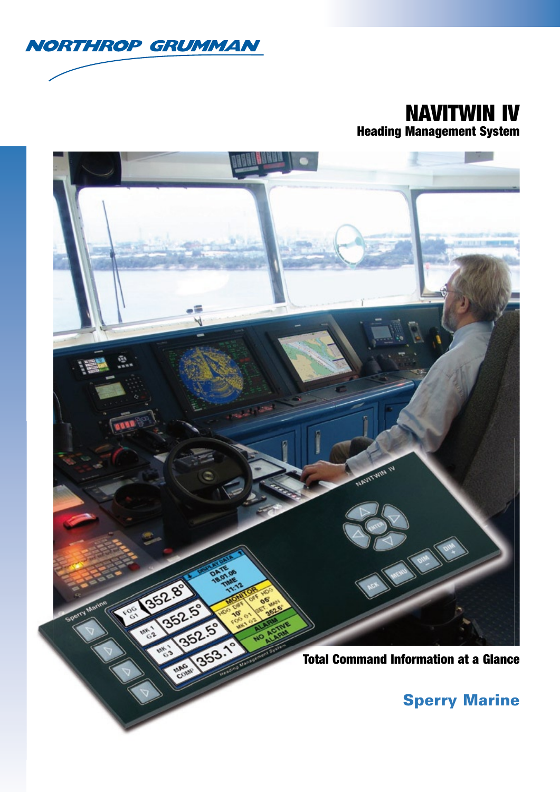

## NAVITWIN IV Heading Management System



## Sperry Marine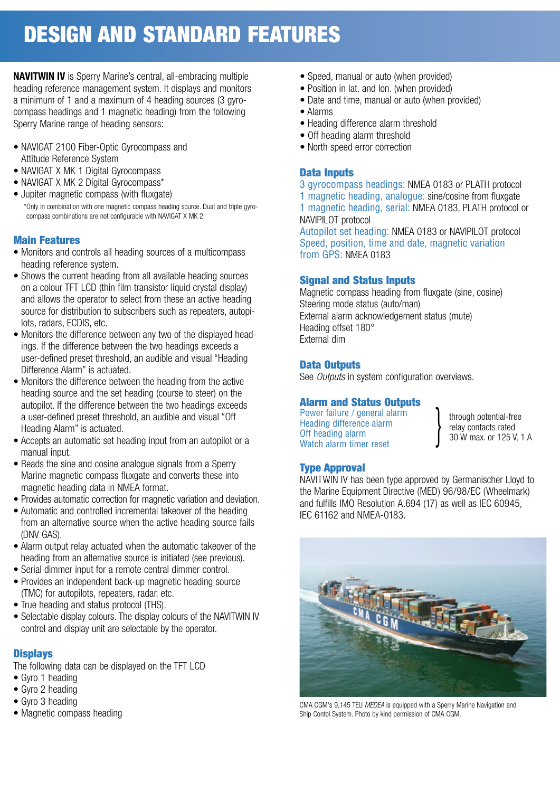# DESIGN AND STANDARD FEATURES

**NAVITWIN IV** is Sperry Marine's central, all-embracing multiple heading reference management system. It displays and monitors a minimum of 1 and a maximum of 4 heading sources (3 gyrocompass headings and 1 magnetic heading) from the following Sperry Marine range of heading sensors:

- NAVIGAT 2100 Fiber-Optic Gyrocompass and Attitude Reference System
- NAVIGAT X MK 1 Digital Gyrocompass
- NAVIGAT X MK 2 Digital Gyrocompass\*
- Jupiter magnetic compass (with fluxgate) \*Only in combination with one magnetic compass heading source. Dual and triple gyrocompass combinations are not configurable with NAVIGAT X MK 2.

### Main Features

- Monitors and controls all heading sources of a multicompass heading reference system.
- Shows the current heading from all available heading sources on a colour TFT LCD (thin film transistor liquid crystal display) and allows the operator to select from these an active heading source for distribution to subscribers such as repeaters, autopilots, radars, ECDIS, etc.
- Monitors the difference between any two of the displayed headings. If the difference between the two headings exceeds a user-defined preset threshold, an audible and visual "Heading Difference Alarm" is actuated.
- Monitors the difference between the heading from the active heading source and the set heading (course to steer) on the autopilot. If the difference between the two headings exceeds a user-defined preset threshold, an audible and visual "Off Heading Alarm" is actuated.
- Accepts an automatic set heading input from an autopilot or a manual input.
- Reads the sine and cosine analogue signals from a Sperry Marine magnetic compass fluxgate and converts these into magnetic heading data in NMEA format.
- Provides automatic correction for magnetic variation and deviation.
- Automatic and controlled incremental takeover of the heading from an alternative source when the active heading source fails (DNV GAS).
- Alarm output relay actuated when the automatic takeover of the heading from an alternative source is initiated (see previous).
- Serial dimmer input for a remote central dimmer control.
- Provides an independent back-up magnetic heading source (TMC) for autopilots, repeaters, radar, etc.
- True heading and status protocol (THS).
- Selectable display colours. The display colours of the NAVITWIN IV control and display unit are selectable by the operator.

### **Displays**

The following data can be displayed on the TFT LCD

- Gyro 1 heading
- Gyro 2 heading
- Gyro 3 heading
- Magnetic compass heading
- Speed, manual or auto (when provided)
- Position in lat. and lon. (when provided)
- Date and time, manual or auto (when provided)
- Alarms
- Heading difference alarm threshold
- Off heading alarm threshold
- North speed error correction

### Data Inputs

3 gyrocompass headings: NMEA 0183 or PLATH protocol 1 magnetic heading, analogue: sine/cosine from fluxgate 1 magnetic heading, serial: NMEA 0183, PLATH protocol or NAVIPILOT protocol

Autopilot set heading: NMEA 0183 or NAVIPILOT protocol Speed, position, time and date, magnetic variation from GPS: NMEA 0183

### Signal and Status Inputs

Magnetic compass heading from fluxgate (sine, cosine) Steering mode status (auto/man) External alarm acknowledgement status (mute) Heading offset 180° External dim

### Data Outputs

See *Outputs* in system configuration overviews.

## **Alarm and Status Outputs**<br>Power failure / general alarm

Power failure / general alarm Heading difference alarm **relay contacts rated** Off heading alarm **7MAX** OF 125 V, 1 A Watch alarm timer reset

### Type Approval

NAVITWIN IV has been type approved by Germanischer Lloyd to the Marine Equipment Directive (MED) 96/98/EC (Wheelmark) and fulfills IMO Resolution  $A.694$  (17) as well as IEC 60945. IEC 61162 and NMEA-0183.

}



CMA CGM's 9,145 TEU *MEDEA* is equipped with a Sperry Marine Navigation and Ship Contol System. Photo by kind permission of CMA CGM.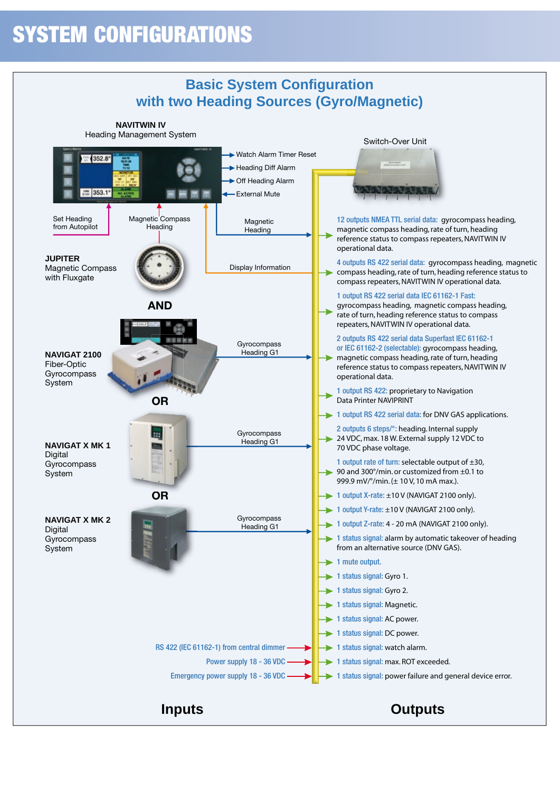## SYSTEM CONFIGURATIONS

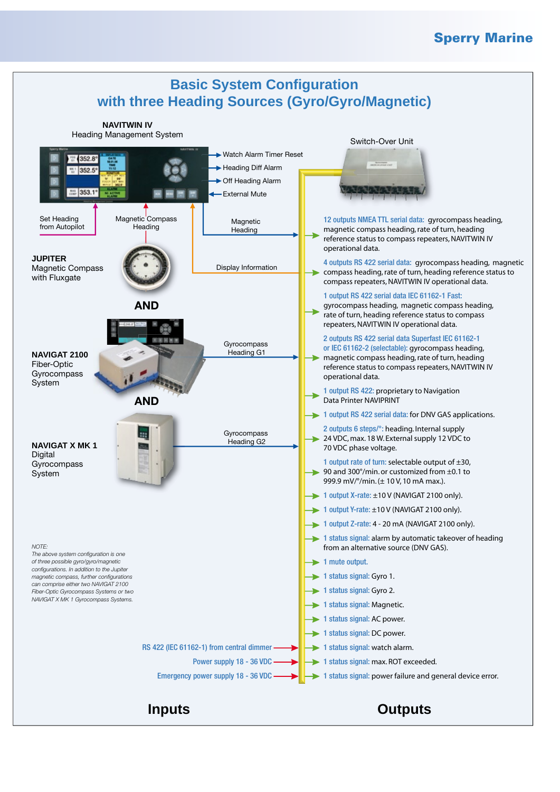### Sperry Marine

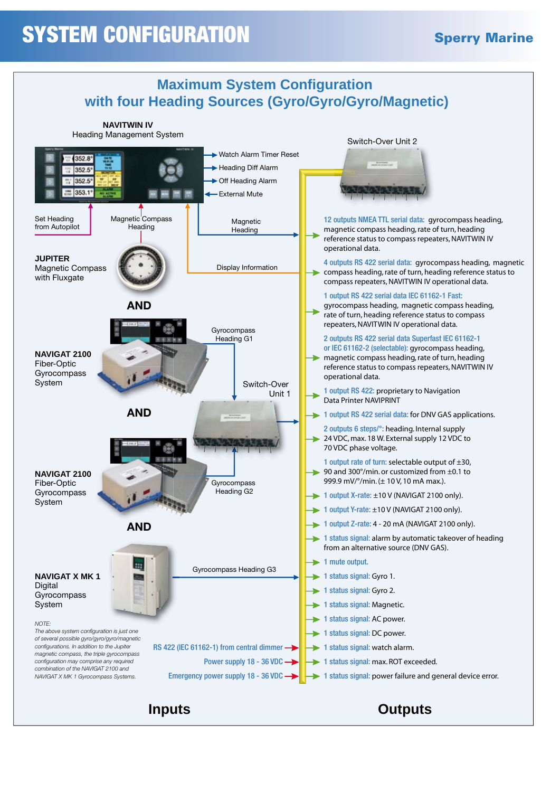# **SYSTEM CONFIGURATION** Sperry Marine

![](_page_4_Figure_2.jpeg)

### **Inputs Outputs**